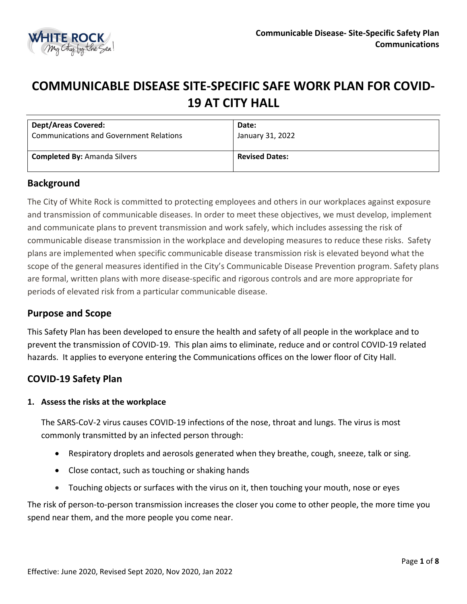

# **COMMUNICABLE DISEASE SITE-SPECIFIC SAFE WORK PLAN FOR COVID-19 AT CITY HALL**

| <b>Dept/Areas Covered:</b>                     | Date:                 |
|------------------------------------------------|-----------------------|
| <b>Communications and Government Relations</b> | January 31, 2022      |
| <b>Completed By: Amanda Silvers</b>            | <b>Revised Dates:</b> |

## **Background**

The City of White Rock is committed to protecting employees and others in our workplaces against exposure and transmission of communicable diseases. In order to meet these objectives, we must develop, implement and communicate plans to prevent transmission and work safely, which includes assessing the risk of communicable disease transmission in the workplace and developing measures to reduce these risks. Safety plans are implemented when specific communicable disease transmission risk is elevated beyond what the scope of the general measures identified in the City's Communicable Disease Prevention program. Safety plans are formal, written plans with more disease-specific and rigorous controls and are more appropriate for periods of elevated risk from a particular communicable disease.

# **Purpose and Scope**

This Safety Plan has been developed to ensure the health and safety of all people in the workplace and to prevent the transmission of COVID-19. This plan aims to eliminate, reduce and or control COVID-19 related hazards. It applies to everyone entering the Communications offices on the lower floor of City Hall.

# **COVID-19 Safety Plan**

#### **1. Assess the risks at the workplace**

The SARS-CoV-2 virus causes COVID-19 infections of the nose, throat and lungs. The virus is most commonly transmitted by an infected person through:

- Respiratory droplets and aerosols generated when they breathe, cough, sneeze, talk or sing.
- Close contact, such as touching or shaking hands
- Touching objects or surfaces with the virus on it, then touching your mouth, nose or eyes

The risk of person-to-person transmission increases the closer you come to other people, the more time you spend near them, and the more people you come near.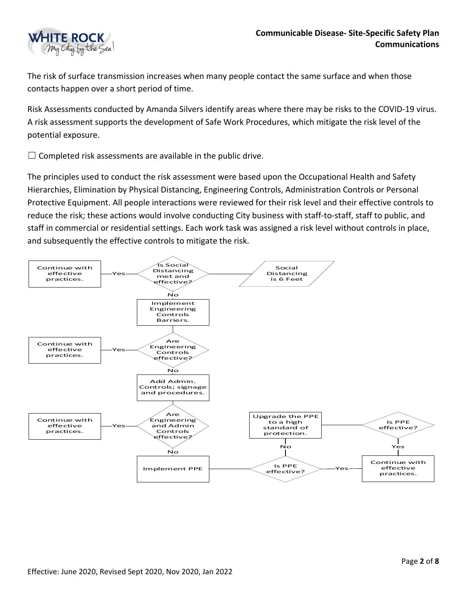

The risk of surface transmission increases when many people contact the same surface and when those contacts happen over a short period of time.

Risk Assessments conducted by Amanda Silvers identify areas where there may be risks to the COVID-19 virus. A risk assessment supports the development of Safe Work Procedures, which mitigate the risk level of the potential exposure.

 $\Box$  Completed risk assessments are available in the public drive.

The principles used to conduct the risk assessment were based upon the Occupational Health and Safety Hierarchies, Elimination by Physical Distancing, Engineering Controls, Administration Controls or Personal Protective Equipment. All people interactions were reviewed for their risk level and their effective controls to reduce the risk; these actions would involve conducting City business with staff-to-staff, staff to public, and staff in commercial or residential settings. Each work task was assigned a risk level without controls in place, and subsequently the effective controls to mitigate the risk.

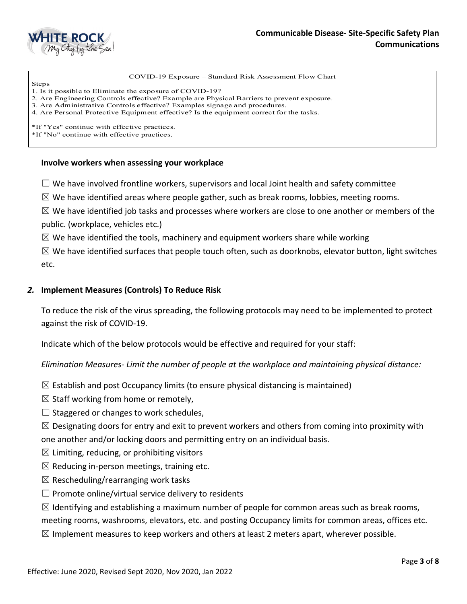

COVID-19 Exposure – Standard Risk Assessment Flow Chart

Steps 1. Is it possible to Eliminate the exposure of COVID-19?

2. Are Engineering Controls effective? Example are Physical Barriers to prevent exposure.

3. Are Administrative Controls effective? Examples signage and procedures.

4. Are Personal Protective Equipment effective? Is the equipment correct for the tasks.

\*If "Yes" continue with effective practices.

\*If "No" continue with effective practices.

#### **Involve workers when assessing your workplace**

 $\Box$  We have involved frontline workers, supervisors and local Joint health and safety committee

 $\boxtimes$  We have identified areas where people gather, such as break rooms, lobbies, meeting rooms.

 $\boxtimes$  We have identified job tasks and processes where workers are close to one another or members of the public. (workplace, vehicles etc.)

 $\boxtimes$  We have identified the tools, machinery and equipment workers share while working

 $\boxtimes$  We have identified surfaces that people touch often, such as doorknobs, elevator button, light switches etc.

#### *2.* **Implement Measures (Controls) To Reduce Risk**

To reduce the risk of the virus spreading, the following protocols may need to be implemented to protect against the risk of COVID-19.

Indicate which of the below protocols would be effective and required for your staff:

*Elimination Measures- Limit the number of people at the workplace and maintaining physical distance:* 

- $\boxtimes$  Establish and post Occupancy limits (to ensure physical distancing is maintained)
- $\boxtimes$  Staff working from home or remotely,
- $\Box$  Staggered or changes to work schedules,

 $\boxtimes$  Designating doors for entry and exit to prevent workers and others from coming into proximity with one another and/or locking doors and permitting entry on an individual basis.

- $\boxtimes$  Limiting, reducing, or prohibiting visitors
- $\boxtimes$  Reducing in-person meetings, training etc.
- $\boxtimes$  Rescheduling/rearranging work tasks
- $\Box$  Promote online/virtual service delivery to residents

 $\boxtimes$  Identifying and establishing a maximum number of people for common areas such as break rooms,

meeting rooms, washrooms, elevators, etc. and posting Occupancy limits for common areas, offices etc.

 $\boxtimes$  Implement measures to keep workers and others at least 2 meters apart, wherever possible.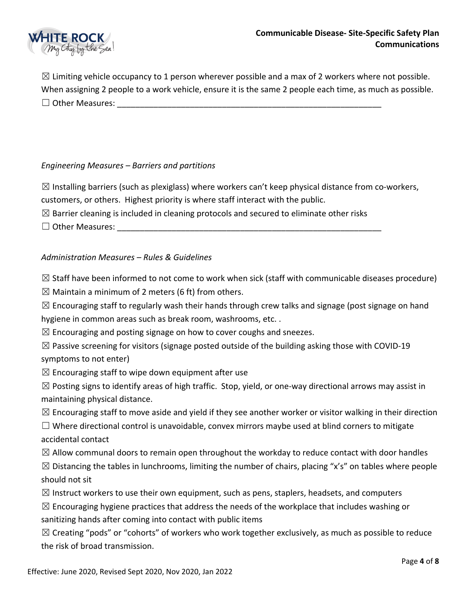

 $\boxtimes$  Limiting vehicle occupancy to 1 person wherever possible and a max of 2 workers where not possible. When assigning 2 people to a work vehicle, ensure it is the same 2 people each time, as much as possible.  $\Box$  Other Measures:

### *Engineering Measures – Barriers and partitions*

 $\boxtimes$  Installing barriers (such as plexiglass) where workers can't keep physical distance from co-workers, customers, or others. Highest priority is where staff interact with the public.

 $\boxtimes$  Barrier cleaning is included in cleaning protocols and secured to eliminate other risks

 $\Box$  Other Measures:  $\Box$ 

### *Administration Measures – Rules & Guidelines*

 $\boxtimes$  Staff have been informed to not come to work when sick (staff with communicable diseases procedure)

 $\boxtimes$  Maintain a minimum of 2 meters (6 ft) from others.

 $\boxtimes$  Encouraging staff to regularly wash their hands through crew talks and signage (post signage on hand hygiene in common areas such as break room, washrooms, etc. .

 $\boxtimes$  Encouraging and posting signage on how to cover coughs and sneezes.

 $\boxtimes$  Passive screening for visitors (signage posted outside of the building asking those with COVID-19 symptoms to not enter)

 $\boxtimes$  Encouraging staff to wipe down equipment after use

 $\boxtimes$  Posting signs to identify areas of high traffic. Stop, yield, or one-way directional arrows may assist in maintaining physical distance.

 $\boxtimes$  Encouraging staff to move aside and yield if they see another worker or visitor walking in their direction

☐ Where directional control is unavoidable, convex mirrors maybe used at blind corners to mitigate accidental contact

 $\boxtimes$  Allow communal doors to remain open throughout the workday to reduce contact with door handles

 $\boxtimes$  Distancing the tables in lunchrooms, limiting the number of chairs, placing "x's" on tables where people should not sit

 $\boxtimes$  Instruct workers to use their own equipment, such as pens, staplers, headsets, and computers

 $\boxtimes$  Encouraging hygiene practices that address the needs of the workplace that includes washing or sanitizing hands after coming into contact with public items

 $\boxtimes$  Creating "pods" or "cohorts" of workers who work together exclusively, as much as possible to reduce the risk of broad transmission.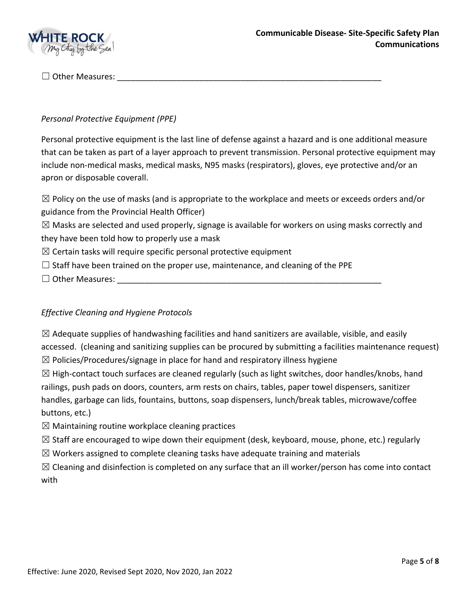

 $\Box$  Other Measures:

## *Personal Protective Equipment (PPE)*

Personal protective equipment is the last line of defense against a hazard and is one additional measure that can be taken as part of a layer approach to prevent transmission. Personal protective equipment may include non-medical masks, medical masks, N95 masks (respirators), gloves, eye protective and/or an apron or disposable coverall.

 $\boxtimes$  Policy on the use of masks (and is appropriate to the workplace and meets or exceeds orders and/or guidance from the Provincial Health Officer)

 $\boxtimes$  Masks are selected and used properly, signage is available for workers on using masks correctly and they have been told how to properly use a mask

- $\boxtimes$  Certain tasks will require specific personal protective equipment
- $\Box$  Staff have been trained on the proper use, maintenance, and cleaning of the PPE
- $\Box$  Other Measures:

## *Effective Cleaning and Hygiene Protocols*

 $\boxtimes$  Adequate supplies of handwashing facilities and hand sanitizers are available, visible, and easily accessed. (cleaning and sanitizing supplies can be procured by submitting a facilities maintenance request)  $\boxtimes$  Policies/Procedures/signage in place for hand and respiratory illness hygiene

 $\boxtimes$  High-contact touch surfaces are cleaned regularly (such as light switches, door handles/knobs, hand railings, push pads on doors, counters, arm rests on chairs, tables, paper towel dispensers, sanitizer handles, garbage can lids, fountains, buttons, soap dispensers, lunch/break tables, microwave/coffee buttons, etc.)

 $\boxtimes$  Maintaining routine workplace cleaning practices

- $\boxtimes$  Staff are encouraged to wipe down their equipment (desk, keyboard, mouse, phone, etc.) regularly
- $\boxtimes$  Workers assigned to complete cleaning tasks have adequate training and materials

 $\boxtimes$  Cleaning and disinfection is completed on any surface that an ill worker/person has come into contact with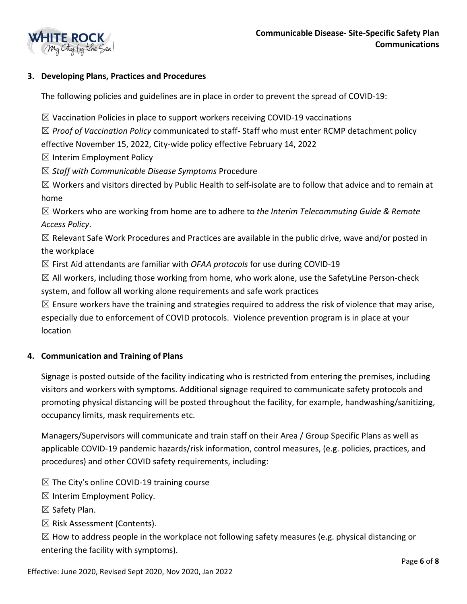

## **3. Developing Plans, Practices and Procedures**

The following policies and guidelines are in place in order to prevent the spread of COVID-19:

 $\boxtimes$  Vaccination Policies in place to support workers receiving COVID-19 vaccinations

☒ *Proof of Vaccination Policy* communicated to staff- Staff who must enter RCMP detachment policy effective November 15, 2022, City-wide policy effective February 14, 2022

 $\boxtimes$  Interim Employment Policy

☒ *Staff with Communicable Disease Symptoms* Procedure

 $\boxtimes$  Workers and visitors directed by Public Health to self-isolate are to follow that advice and to remain at home

☒ Workers who are working from home are to adhere to *the Interim Telecommuting Guide & Remote Access Policy*.

 $\boxtimes$  Relevant Safe Work Procedures and Practices are available in the public drive, wave and/or posted in the workplace

☒ First Aid attendants are familiar with *OFAA protocols* for use during COVID-19

 $\boxtimes$  All workers, including those working from home, who work alone, use the SafetyLine Person-check system, and follow all working alone requirements and safe work practices

 $\boxtimes$  Ensure workers have the training and strategies required to address the risk of violence that may arise, especially due to enforcement of COVID protocols. Violence prevention program is in place at your location

#### **4. Communication and Training of Plans**

Signage is posted outside of the facility indicating who is restricted from entering the premises, including visitors and workers with symptoms. Additional signage required to communicate safety protocols and promoting physical distancing will be posted throughout the facility, for example, handwashing/sanitizing, occupancy limits, mask requirements etc.

Managers/Supervisors will communicate and train staff on their Area / Group Specific Plans as well as applicable COVID-19 pandemic hazards/risk information, control measures, (e.g. policies, practices, and procedures) and other COVID safety requirements, including:

 $\boxtimes$  The City's online COVID-19 training course

 $\boxtimes$  Interim Employment Policy.

☒ Safety Plan.

 $\boxtimes$  Risk Assessment (Contents).

 $\boxtimes$  How to address people in the workplace not following safety measures (e.g. physical distancing or entering the facility with symptoms).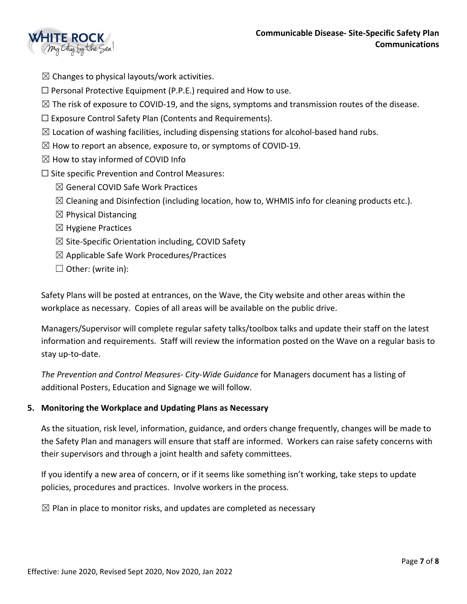

- $\boxtimes$  Changes to physical layouts/work activities.
- $\Box$  Personal Protective Equipment (P.P.E.) required and How to use.
- $\boxtimes$  The risk of exposure to COVID-19, and the signs, symptoms and transmission routes of the disease.
- $\Box$  Exposure Control Safety Plan (Contents and Requirements).
- $\boxtimes$  Location of washing facilities, including dispensing stations for alcohol-based hand rubs.
- $\boxtimes$  How to report an absence, exposure to, or symptoms of COVID-19.
- $\boxtimes$  How to stay informed of COVID Info
- $\square$  Site specific Prevention and Control Measures:
	- $\boxtimes$  General COVID Safe Work Practices
	- $\boxtimes$  Cleaning and Disinfection (including location, how to, WHMIS info for cleaning products etc.).
	- $\boxtimes$  Physical Distancing
	- $\boxtimes$  Hygiene Practices
	- $\boxtimes$  Site-Specific Orientation including, COVID Safety
	- $\boxtimes$  Applicable Safe Work Procedures/Practices
	- $\Box$  Other: (write in):

Safety Plans will be posted at entrances, on the Wave, the City website and other areas within the workplace as necessary. Copies of all areas will be available on the public drive.

Managers/Supervisor will complete regular safety talks/toolbox talks and update their staff on the latest information and requirements. Staff will review the information posted on the Wave on a regular basis to stay up-to-date.

*The Prevention and Control Measures- City-Wide Guidance* for Managers document has a listing of additional Posters, Education and Signage we will follow.

#### **5. Monitoring the Workplace and Updating Plans as Necessary**

As the situation, risk level, information, guidance, and orders change frequently, changes will be made to the Safety Plan and managers will ensure that staff are informed. Workers can raise safety concerns with their supervisors and through a joint health and safety committees.

If you identify a new area of concern, or if it seems like something isn't working, take steps to update policies, procedures and practices. Involve workers in the process.

 $\boxtimes$  Plan in place to monitor risks, and updates are completed as necessary